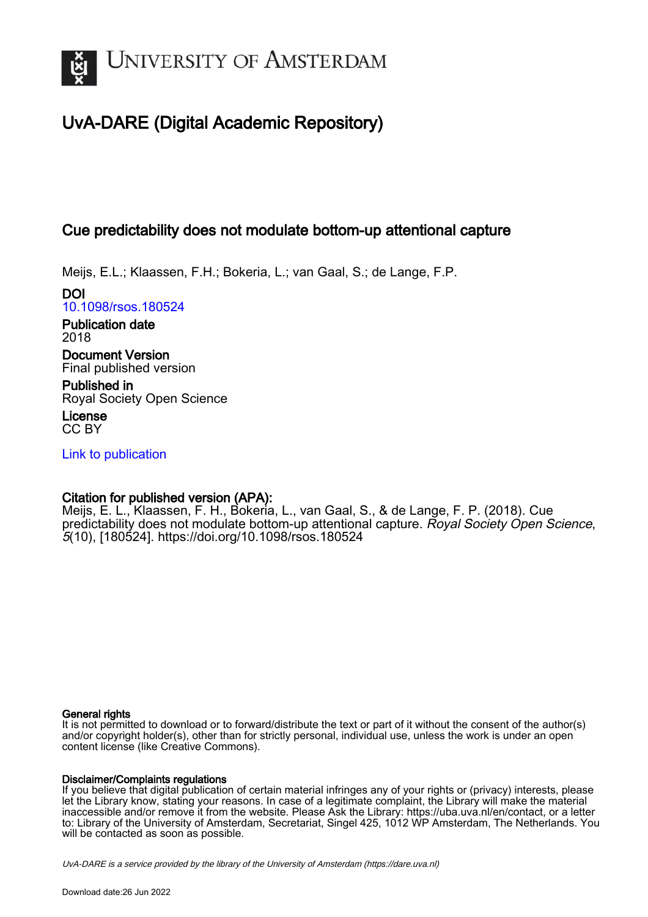

# UvA-DARE (Digital Academic Repository)

### Cue predictability does not modulate bottom-up attentional capture

Meijs, E.L.; Klaassen, F.H.; Bokeria, L.; van Gaal, S.; de Lange, F.P.

DOI [10.1098/rsos.180524](https://doi.org/10.1098/rsos.180524)

Publication date 2018

Document Version Final published version

Published in Royal Society Open Science

License CC BY

[Link to publication](https://dare.uva.nl/personal/pure/en/publications/cue-predictability-does-not-modulate-bottomup-attentional-capture(4e53e090-3353-47d4-a8d2-571c2d3cac5b).html)

### Citation for published version (APA):

Meijs, E. L., Klaassen, F. H., Bokeria, L., van Gaal, S., & de Lange, F. P. (2018). Cue predictability does not modulate bottom-up attentional capture. Royal Society Open Science, 5(10), [180524]. <https://doi.org/10.1098/rsos.180524>

### General rights

It is not permitted to download or to forward/distribute the text or part of it without the consent of the author(s) and/or copyright holder(s), other than for strictly personal, individual use, unless the work is under an open content license (like Creative Commons).

### Disclaimer/Complaints regulations

If you believe that digital publication of certain material infringes any of your rights or (privacy) interests, please let the Library know, stating your reasons. In case of a legitimate complaint, the Library will make the material inaccessible and/or remove it from the website. Please Ask the Library: https://uba.uva.nl/en/contact, or a letter to: Library of the University of Amsterdam, Secretariat, Singel 425, 1012 WP Amsterdam, The Netherlands. You will be contacted as soon as possible.

UvA-DARE is a service provided by the library of the University of Amsterdam (http*s*://dare.uva.nl)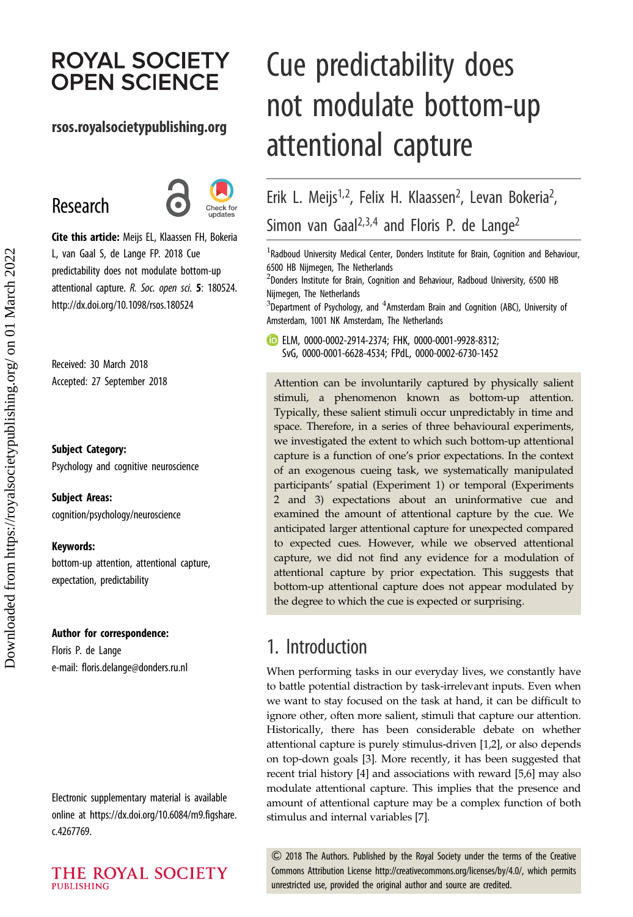# **ROYAL SOCIETY OPEN SCIENCE**

### rsos.royalsocietypublishing.org

# Research



Cite this article: Meijs EL, Klaassen FH, Bokeria L, van Gaal S, de Lange FP. 2018 Cue predictability does not modulate bottom-up attentional capture. R. Soc. open sci. 5: 180524. http://dx.doi.org/10.1098/rsos.180524

Received: 30 March 2018 Accepted: 27 September 2018

### Subject Category:

Psychology and cognitive neuroscience

Subject Areas: cognition/psychology/neuroscience

#### Keywords:

bottom-up attention, attentional capture, expectation, predictability

#### Author for correspondence:

Floris P. de Lange e-mail: [floris.delange@donders.ru.nl](mailto:floris.delange@donders.ru.nl)

Electronic supplementary material is available online at [https://dx.doi.org/10.6084/m9.figshare.](https://dx.doi.org/10.6084/m9.figshare.c.4267769) [c.4267769.](https://dx.doi.org/10.6084/m9.figshare.c.4267769)

# Cue predictability does not modulate bottom-up attentional capture

Erik L. Meijs<sup>1,2</sup>, Felix H. Klaassen<sup>2</sup>, Levan Bokeria<sup>2</sup> , Simon van Gaal<sup>2,3,4</sup> and Floris P. de Lange<sup>2</sup>

 $^1$ Radboud University Medical Center, Donders Institute for Brain, Cognition and Behaviour, 6500 HB Nijmegen, The Netherlands

 $^2$ Donders Institute for Brain, Cognition and Behaviour, Radboud University, 6500 HB Nijmegen, The Netherlands

 $^3$ Department of Psychology, and  $^4$ Amsterdam Brain and Cognition (ABC), University of Amsterdam, 1001 NK Amsterdam, The Netherlands

ELM, [0000-0002-2914-2374](http://orcid.org/0000-0002-2914-2374); FHK, [0000-0001-9928-8312;](http://orcid.org/0000-0001-9928-8312) SvG, [0000-0001-6628-4534](http://orcid.org/0000-0001-6628-4534); FPdL, [0000-0002-6730-1452](http://orcid.org/0000-0002-6730-1452)

Attention can be involuntarily captured by physically salient stimuli, a phenomenon known as bottom-up attention. Typically, these salient stimuli occur unpredictably in time and space. Therefore, in a series of three behavioural experiments, we investigated the extent to which such bottom-up attentional capture is a function of one's prior expectations. In the context of an exogenous cueing task, we systematically manipulated participants' spatial (Experiment 1) or temporal (Experiments 2 and 3) expectations about an uninformative cue and examined the amount of attentional capture by the cue. We anticipated larger attentional capture for unexpected compared to expected cues. However, while we observed attentional capture, we did not find any evidence for a modulation of attentional capture by prior expectation. This suggests that bottom-up attentional capture does not appear modulated by the degree to which the cue is expected or surprising.

# 1. Introduction

When performing tasks in our everyday lives, we constantly have to battle potential distraction by task-irrelevant inputs. Even when we want to stay focused on the task at hand, it can be difficult to ignore other, often more salient, stimuli that capture our attention. Historically, there has been considerable debate on whether attentional capture is purely stimulus-driven [[1,2\]](#page-12-0), or also depends on top-down goals [[3](#page-12-0)]. More recently, it has been suggested that recent trial history [\[4](#page-12-0)] and associations with reward [[5,6\]](#page-12-0) may also modulate attentional capture. This implies that the presence and amount of attentional capture may be a complex function of both stimulus and internal variables [\[7\]](#page-12-0).

& 2018 The Authors. Published by the Royal Society under the terms of the Creative Commons Attribution License [http://creativecommons.org/licenses/by/4.0/, which permits](http://creativecommons.org/licenses/by/4.0/) [unrestricted use, provided the original author and source are credited.](http://creativecommons.org/licenses/by/4.0/)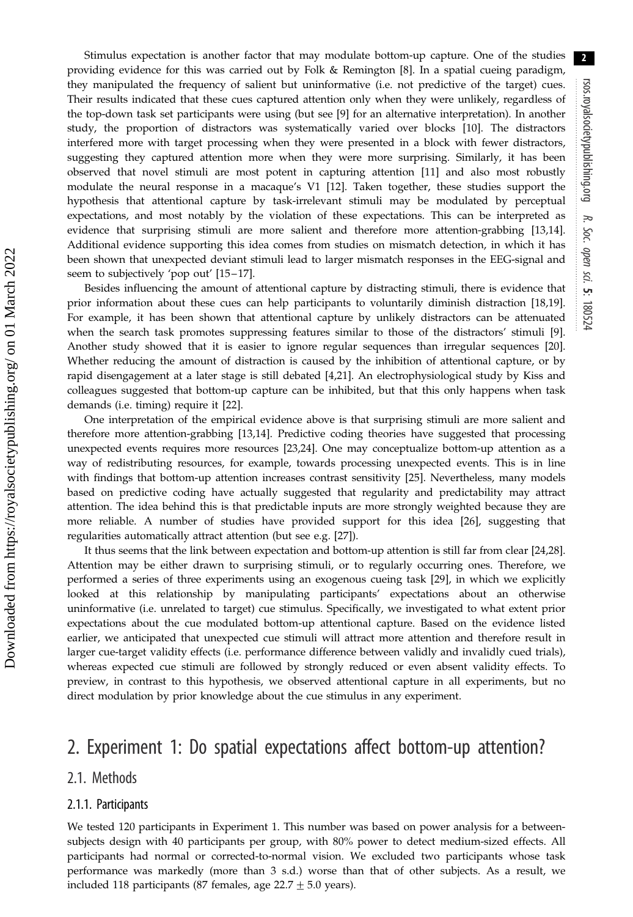Stimulus expectation is another factor that may modulate bottom-up capture. One of the studies providing evidence for this was carried out by Folk & Remington [[8](#page-12-0)]. In a spatial cueing paradigm, they manipulated the frequency of salient but uninformative (i.e. not predictive of the target) cues. Their results indicated that these cues captured attention only when they were unlikely, regardless of the top-down task set participants were using (but see [[9](#page-12-0)] for an alternative interpretation). In another study, the proportion of distractors was systematically varied over blocks [[10\]](#page-12-0). The distractors interfered more with target processing when they were presented in a block with fewer distractors, suggesting they captured attention more when they were more surprising. Similarly, it has been observed that novel stimuli are most potent in capturing attention [\[11](#page-12-0)] and also most robustly modulate the neural response in a macaque's V1 [\[12](#page-12-0)]. Taken together, these studies support the hypothesis that attentional capture by task-irrelevant stimuli may be modulated by perceptual expectations, and most notably by the violation of these expectations. This can be interpreted as evidence that surprising stimuli are more salient and therefore more attention-grabbing [\[13,14](#page-12-0)]. Additional evidence supporting this idea comes from studies on mismatch detection, in which it has been shown that unexpected deviant stimuli lead to larger mismatch responses in the EEG-signal and seem to subjectively 'pop out' [\[15](#page-12-0)-17].

Besides influencing the amount of attentional capture by distracting stimuli, there is evidence that prior information about these cues can help participants to voluntarily diminish distraction [\[18,19](#page-12-0)]. For example, it has been shown that attentional capture by unlikely distractors can be attenuated when the search task promotes suppressing features similar to those of the distractors' stimuli [[9](#page-12-0)]. Another study showed that it is easier to ignore regular sequences than irregular sequences [\[20](#page-12-0)]. Whether reducing the amount of distraction is caused by the inhibition of attentional capture, or by rapid disengagement at a later stage is still debated [\[4,21\]](#page-12-0). An electrophysiological study by Kiss and colleagues suggested that bottom-up capture can be inhibited, but that this only happens when task demands (i.e. timing) require it [\[22](#page-12-0)].

One interpretation of the empirical evidence above is that surprising stimuli are more salient and therefore more attention-grabbing [\[13](#page-12-0),[14\]](#page-12-0). Predictive coding theories have suggested that processing unexpected events requires more resources [[23,24\]](#page-12-0). One may conceptualize bottom-up attention as a way of redistributing resources, for example, towards processing unexpected events. This is in line with findings that bottom-up attention increases contrast sensitivity [\[25](#page-12-0)]. Nevertheless, many models based on predictive coding have actually suggested that regularity and predictability may attract attention. The idea behind this is that predictable inputs are more strongly weighted because they are more reliable. A number of studies have provided support for this idea [[26\]](#page-12-0), suggesting that regularities automatically attract attention (but see e.g. [[27\]](#page-12-0)).

It thus seems that the link between expectation and bottom-up attention is still far from clear [\[24,28](#page-12-0)]. Attention may be either drawn to surprising stimuli, or to regularly occurring ones. Therefore, we performed a series of three experiments using an exogenous cueing task [\[29](#page-12-0)], in which we explicitly looked at this relationship by manipulating participants' expectations about an otherwise uninformative (i.e. unrelated to target) cue stimulus. Specifically, we investigated to what extent prior expectations about the cue modulated bottom-up attentional capture. Based on the evidence listed earlier, we anticipated that unexpected cue stimuli will attract more attention and therefore result in larger cue-target validity effects (i.e. performance difference between validly and invalidly cued trials), whereas expected cue stimuli are followed by strongly reduced or even absent validity effects. To preview, in contrast to this hypothesis, we observed attentional capture in all experiments, but no direct modulation by prior knowledge about the cue stimulus in any experiment.

### 2. Experiment 1: Do spatial expectations affect bottom-up attention?

### 2.1. Methods

#### 2.1.1. Participants

We tested 120 participants in Experiment 1. This number was based on power analysis for a betweensubjects design with 40 participants per group, with 80% power to detect medium-sized effects. All participants had normal or corrected-to-normal vision. We excluded two participants whose task performance was markedly (more than 3 s.d.) worse than that of other subjects. As a result, we included 118 participants (87 females, age  $22.7 \pm 5.0$  years).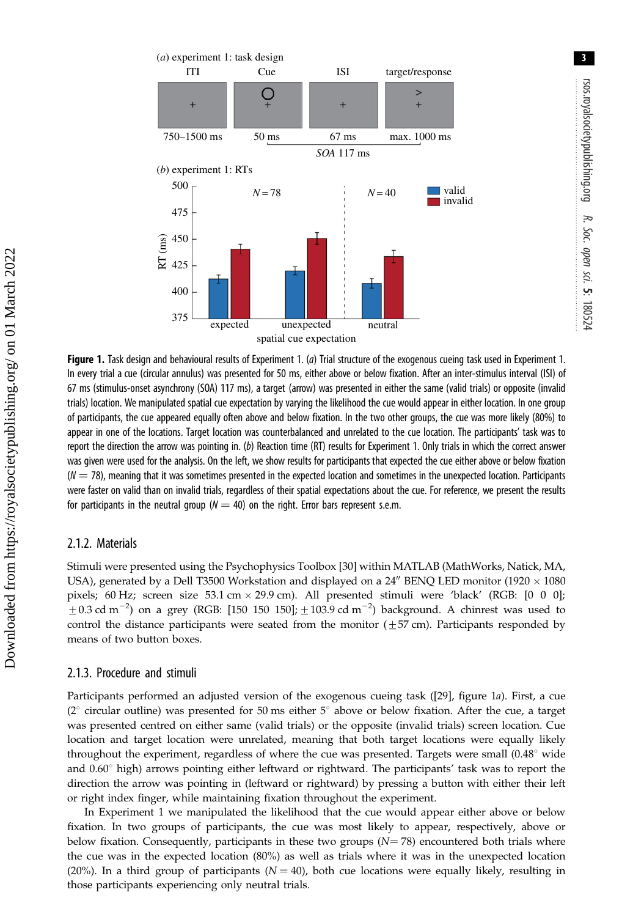3

<span id="page-3-0"></span>

Figure 1. Task design and behavioural results of Experiment 1. (a) Trial structure of the exogenous cueing task used in Experiment 1. In every trial a cue (circular annulus) was presented for 50 ms, either above or below fixation. After an inter-stimulus interval (ISI) of 67 ms (stimulus-onset asynchrony (SOA) 117 ms), a target (arrow) was presented in either the same (valid trials) or opposite (invalid trials) location. We manipulated spatial cue expectation by varying the likelihood the cue would appear in either location. In one group of participants, the cue appeared equally often above and below fixation. In the two other groups, the cue was more likely (80%) to appear in one of the locations. Target location was counterbalanced and unrelated to the cue location. The participants' task was to report the direction the arrow was pointing in. (b) Reaction time (RT) results for Experiment 1. Only trials in which the correct answer was given were used for the analysis. On the left, we show results for participants that expected the cue either above or below fixation  $(N = 78)$ , meaning that it was sometimes presented in the expected location and sometimes in the unexpected location. Participants were faster on valid than on invalid trials, regardless of their spatial expectations about the cue. For reference, we present the results for participants in the neutral group ( $N = 40$ ) on the right. Error bars represent s.e.m.

### 2.1.2. Materials

Stimuli were presented using the Psychophysics Toolbox [\[30](#page-12-0)] within MATLAB (MathWorks, Natick, MA, USA), generated by a Dell T3500 Workstation and displayed on a 24" BENQ LED monitor (1920  $\times$  1080 pixels; 60 Hz; screen size 53.1 cm  $\times$  29.9 cm). All presented stimuli were 'black' (RGB: [0 0 0];  $\pm$  0.3 cd m<sup>-2</sup>) on a grey (RGB: [150 150 150];  $\pm$  103.9 cd m<sup>-2</sup>) background. A chinrest was used to control the distance participants were seated from the monitor  $(\pm 57 \text{ cm})$ . Participants responded by means of two button boxes.

### 2.1.3. Procedure and stimuli

Participants performed an adjusted version of the exogenous cueing task ([[29\]](#page-12-0), figure 1a). First, a cue ( $2^{\circ}$  circular outline) was presented for 50 ms either  $5^{\circ}$  above or below fixation. After the cue, a target was presented centred on either same (valid trials) or the opposite (invalid trials) screen location. Cue location and target location were unrelated, meaning that both target locations were equally likely throughout the experiment, regardless of where the cue was presented. Targets were small  $(0.48^{\circ}$  wide and  $0.60^{\circ}$  high) arrows pointing either leftward or rightward. The participants' task was to report the direction the arrow was pointing in (leftward or rightward) by pressing a button with either their left or right index finger, while maintaining fixation throughout the experiment.

In Experiment 1 we manipulated the likelihood that the cue would appear either above or below fixation. In two groups of participants, the cue was most likely to appear, respectively, above or below fixation. Consequently, participants in these two groups  $(N = 78)$  encountered both trials where the cue was in the expected location (80%) as well as trials where it was in the unexpected location (20%). In a third group of participants ( $N = 40$ ), both cue locations were equally likely, resulting in those participants experiencing only neutral trials.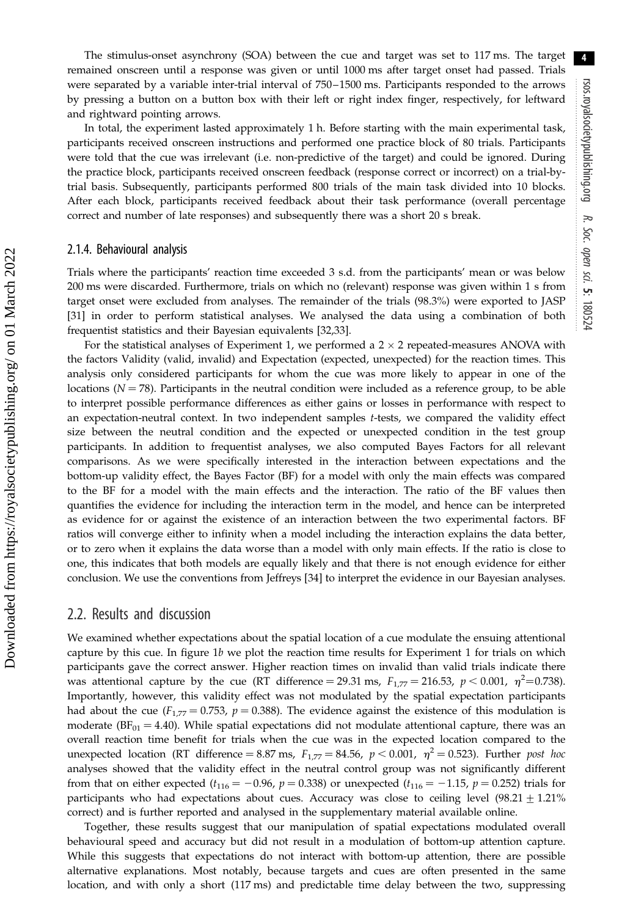The stimulus-onset asynchrony (SOA) between the cue and target was set to 117 ms. The target remained onscreen until a response was given or until 1000 ms after target onset had passed. Trials were separated by a variable inter-trial interval of 750 –1500 ms. Participants responded to the arrows by pressing a button on a button box with their left or right index finger, respectively, for leftward and rightward pointing arrows.

In total, the experiment lasted approximately 1 h. Before starting with the main experimental task, participants received onscreen instructions and performed one practice block of 80 trials. Participants were told that the cue was irrelevant (i.e. non-predictive of the target) and could be ignored. During the practice block, participants received onscreen feedback (response correct or incorrect) on a trial-bytrial basis. Subsequently, participants performed 800 trials of the main task divided into 10 blocks. After each block, participants received feedback about their task performance (overall percentage correct and number of late responses) and subsequently there was a short 20 s break.

#### 2.1.4. Behavioural analysis

Trials where the participants' reaction time exceeded 3 s.d. from the participants' mean or was below 200 ms were discarded. Furthermore, trials on which no (relevant) response was given within 1 s from target onset were excluded from analyses. The remainder of the trials (98.3%) were exported to JASP [\[31](#page-12-0)] in order to perform statistical analyses. We analysed the data using a combination of both frequentist statistics and their Bayesian equivalents [\[32](#page-12-0),[33\]](#page-12-0).

For the statistical analyses of Experiment 1, we performed a  $2 \times 2$  repeated-measures ANOVA with the factors Validity (valid, invalid) and Expectation (expected, unexpected) for the reaction times. This analysis only considered participants for whom the cue was more likely to appear in one of the locations ( $N = 78$ ). Participants in the neutral condition were included as a reference group, to be able to interpret possible performance differences as either gains or losses in performance with respect to an expectation-neutral context. In two independent samples t-tests, we compared the validity effect size between the neutral condition and the expected or unexpected condition in the test group participants. In addition to frequentist analyses, we also computed Bayes Factors for all relevant comparisons. As we were specifically interested in the interaction between expectations and the bottom-up validity effect, the Bayes Factor (BF) for a model with only the main effects was compared to the BF for a model with the main effects and the interaction. The ratio of the BF values then quantifies the evidence for including the interaction term in the model, and hence can be interpreted as evidence for or against the existence of an interaction between the two experimental factors. BF ratios will converge either to infinity when a model including the interaction explains the data better, or to zero when it explains the data worse than a model with only main effects. If the ratio is close to one, this indicates that both models are equally likely and that there is not enough evidence for either conclusion. We use the conventions from Jeffreys [[34](#page-12-0)] to interpret the evidence in our Bayesian analyses.

### 2.2. Results and discussion

We examined whether expectations about the spatial location of a cue modulate the ensuing attentional capture by this cue. In figure  $1b$  we plot the reaction time results for Experiment 1 for trials on which participants gave the correct answer. Higher reaction times on invalid than valid trials indicate there was attentional capture by the cue (RT difference = 29.31 ms,  $F_{1,77} = 216.53$ ,  $p < 0.001$ ,  $\eta^2 = 0.738$ ). Importantly, however, this validity effect was not modulated by the spatial expectation participants had about the cue ( $F_{1,77} = 0.753$ ,  $p = 0.388$ ). The evidence against the existence of this modulation is moderate ( $BF_{01} = 4.40$ ). While spatial expectations did not modulate attentional capture, there was an overall reaction time benefit for trials when the cue was in the expected location compared to the unexpected location (RT difference = 8.87 ms,  $F_{1.77}$  = 84.56,  $p < 0.001$ ,  $\eta^2$  = 0.523). Further post hoc analyses showed that the validity effect in the neutral control group was not significantly different from that on either expected ( $t_{116} = -0.96$ ,  $p = 0.338$ ) or unexpected ( $t_{116} = -1.15$ ,  $p = 0.252$ ) trials for participants who had expectations about cues. Accuracy was close to ceiling level  $(98.21 \pm 1.21\%)$ correct) and is further reported and analysed in the supplementary material available online.

Together, these results suggest that our manipulation of spatial expectations modulated overall behavioural speed and accuracy but did not result in a modulation of bottom-up attention capture. While this suggests that expectations do not interact with bottom-up attention, there are possible alternative explanations. Most notably, because targets and cues are often presented in the same location, and with only a short (117 ms) and predictable time delay between the two, suppressing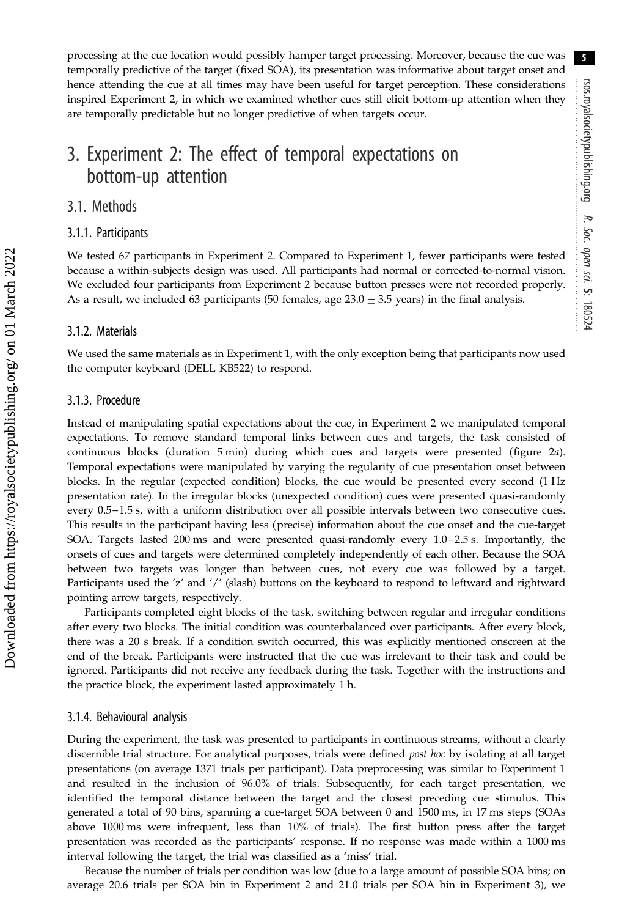processing at the cue location would possibly hamper target processing. Moreover, because the cue was temporally predictive of the target (fixed SOA), its presentation was informative about target onset and hence attending the cue at all times may have been useful for target perception. These considerations inspired Experiment 2, in which we examined whether cues still elicit bottom-up attention when they are temporally predictable but no longer predictive of when targets occur.

# 3. Experiment 2: The effect of temporal expectations on bottom-up attention

### 3.1. Methods

### 3.1.1. Participants

We tested 67 participants in Experiment 2. Compared to Experiment 1, fewer participants were tested because a within-subjects design was used. All participants had normal or corrected-to-normal vision. We excluded four participants from Experiment 2 because button presses were not recorded properly. As a result, we included 63 participants (50 females, age  $23.0 \pm 3.5$  years) in the final analysis.

### 3.1.2. Materials

We used the same materials as in Experiment 1, with the only exception being that participants now used the computer keyboard (DELL KB522) to respond.

### 3.1.3. Procedure

Instead of manipulating spatial expectations about the cue, in Experiment 2 we manipulated temporal expectations. To remove standard temporal links between cues and targets, the task consisted of continuous blocks (duration 5 min) during which cues and targets were presented ([figure 2](#page-6-0)a). Temporal expectations were manipulated by varying the regularity of cue presentation onset between blocks. In the regular (expected condition) blocks, the cue would be presented every second (1 Hz presentation rate). In the irregular blocks (unexpected condition) cues were presented quasi-randomly every 0.5–1.5 s, with a uniform distribution over all possible intervals between two consecutive cues. This results in the participant having less (precise) information about the cue onset and the cue-target SOA. Targets lasted 200 ms and were presented quasi-randomly every 1.0–2.5 s. Importantly, the onsets of cues and targets were determined completely independently of each other. Because the SOA between two targets was longer than between cues, not every cue was followed by a target. Participants used the 'z' and '/' (slash) buttons on the keyboard to respond to leftward and rightward pointing arrow targets, respectively.

Participants completed eight blocks of the task, switching between regular and irregular conditions after every two blocks. The initial condition was counterbalanced over participants. After every block, there was a 20 s break. If a condition switch occurred, this was explicitly mentioned onscreen at the end of the break. Participants were instructed that the cue was irrelevant to their task and could be ignored. Participants did not receive any feedback during the task. Together with the instructions and the practice block, the experiment lasted approximately 1 h.

#### 3.1.4. Behavioural analysis

During the experiment, the task was presented to participants in continuous streams, without a clearly discernible trial structure. For analytical purposes, trials were defined post hoc by isolating at all target presentations (on average 1371 trials per participant). Data preprocessing was similar to Experiment 1 and resulted in the inclusion of 96.0% of trials. Subsequently, for each target presentation, we identified the temporal distance between the target and the closest preceding cue stimulus. This generated a total of 90 bins, spanning a cue-target SOA between 0 and 1500 ms, in 17 ms steps (SOAs above 1000 ms were infrequent, less than 10% of trials). The first button press after the target presentation was recorded as the participants' response. If no response was made within a 1000 ms interval following the target, the trial was classified as a 'miss' trial.

Because the number of trials per condition was low (due to a large amount of possible SOA bins; on average 20.6 trials per SOA bin in Experiment 2 and 21.0 trials per SOA bin in Experiment 3), we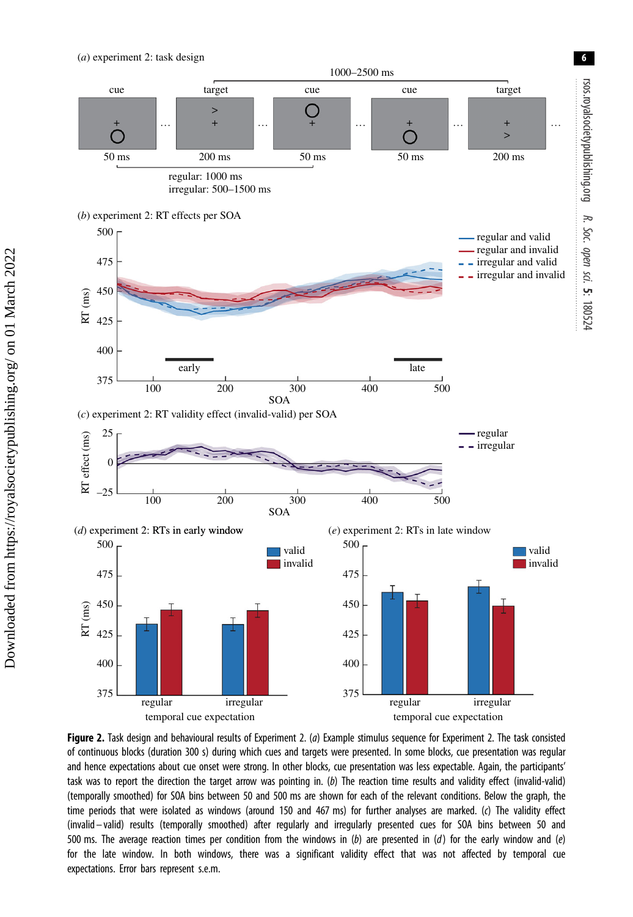(*a*) experiment 2: task design

<span id="page-6-0"></span>

Figure 2. Task design and behavioural results of Experiment 2. (a) Example stimulus sequence for Experiment 2. The task consisted of continuous blocks (duration 300 s) during which cues and targets were presented. In some blocks, cue presentation was regular and hence expectations about cue onset were strong. In other blocks, cue presentation was less expectable. Again, the participants' task was to report the direction the target arrow was pointing in. (b) The reaction time results and validity effect (invalid-valid) (temporally smoothed) for SOA bins between 50 and 500 ms are shown for each of the relevant conditions. Below the graph, the time periods that were isolated as windows (around 150 and 467 ms) for further analyses are marked. (c) The validity effect (invalid – valid) results (temporally smoothed) after regularly and irregularly presented cues for SOA bins between 50 and 500 ms. The average reaction times per condition from the windows in (b) are presented in (d) for the early window and (e) for the late window. In both windows, there was a significant validity effect that was not affected by temporal cue expectations. Error bars represent s.e.m.

6

Soc.

sci.

5: 180524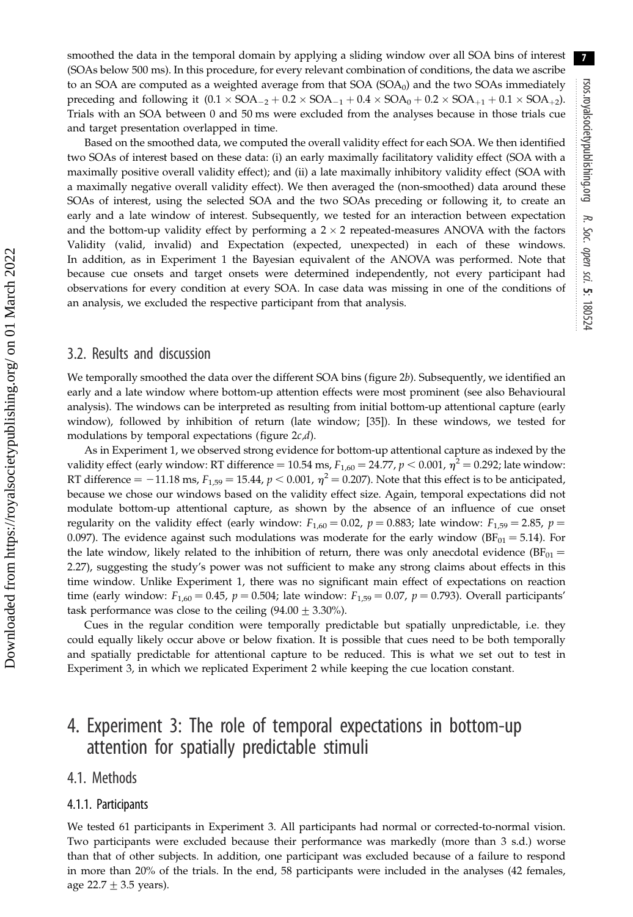smoothed the data in the temporal domain by applying a sliding window over all SOA bins of interest (SOAs below 500 ms). In this procedure, for every relevant combination of conditions, the data we ascribe to an SOA are computed as a weighted average from that  $SOA(SOA<sub>0</sub>)$  and the two SOAs immediately preceding and following it  $(0.1 \times SOA_{-2} + 0.2 \times SOA_{-1} + 0.4 \times SOA_0 + 0.2 \times SOA_{+1} + 0.1 \times SOA_{+2}).$ Trials with an SOA between 0 and 50 ms were excluded from the analyses because in those trials cue and target presentation overlapped in time.

Based on the smoothed data, we computed the overall validity effect for each SOA. We then identified two SOAs of interest based on these data: (i) an early maximally facilitatory validity effect (SOA with a maximally positive overall validity effect); and (ii) a late maximally inhibitory validity effect (SOA with a maximally negative overall validity effect). We then averaged the (non-smoothed) data around these SOAs of interest, using the selected SOA and the two SOAs preceding or following it, to create an early and a late window of interest. Subsequently, we tested for an interaction between expectation and the bottom-up validity effect by performing a  $2 \times 2$  repeated-measures ANOVA with the factors Validity (valid, invalid) and Expectation (expected, unexpected) in each of these windows. In addition, as in Experiment 1 the Bayesian equivalent of the ANOVA was performed. Note that because cue onsets and target onsets were determined independently, not every participant had observations for every condition at every SOA. In case data was missing in one of the conditions of an analysis, we excluded the respective participant from that analysis.

### 3.2. Results and discussion

We temporally smoothed the data over the different SOA bins [\(figure 2](#page-6-0)b). Subsequently, we identified an early and a late window where bottom-up attention effects were most prominent (see also Behavioural analysis). The windows can be interpreted as resulting from initial bottom-up attentional capture (early window), followed by inhibition of return (late window; [[35\]](#page-12-0)). In these windows, we tested for modulations by temporal expectations (figure  $2c/d$ ).

As in Experiment 1, we observed strong evidence for bottom-up attentional capture as indexed by the validity effect (early window: RT difference = 10.54 ms,  $F_{1,60} = 24.77$ ,  $p < 0.001$ ,  $\eta^2 = 0.292$ ; late window: RT difference  $=$  -11.18 ms,  $F_{1,59}$  = 15.44,  $p$  < 0.001,  $\eta^2$  = 0.207). Note that this effect is to be anticipated, because we chose our windows based on the validity effect size. Again, temporal expectations did not modulate bottom-up attentional capture, as shown by the absence of an influence of cue onset regularity on the validity effect (early window:  $F_{1,60} = 0.02$ ,  $p = 0.883$ ; late window:  $F_{1,59} = 2.85$ ,  $p =$ 0.097). The evidence against such modulations was moderate for the early window ( $BF_{01} = 5.14$ ). For the late window, likely related to the inhibition of return, there was only anecdotal evidence ( $BF_{01}$  = 2.27), suggesting the study's power was not sufficient to make any strong claims about effects in this time window. Unlike Experiment 1, there was no significant main effect of expectations on reaction time (early window:  $F_{1,60} = 0.45$ ,  $p = 0.504$ ; late window:  $F_{1,59} = 0.07$ ,  $p = 0.793$ ). Overall participants' task performance was close to the ceiling  $(94.00 \pm 3.30\%)$ .

Cues in the regular condition were temporally predictable but spatially unpredictable, i.e. they could equally likely occur above or below fixation. It is possible that cues need to be both temporally and spatially predictable for attentional capture to be reduced. This is what we set out to test in Experiment 3, in which we replicated Experiment 2 while keeping the cue location constant.

## 4. Experiment 3: The role of temporal expectations in bottom-up attention for spatially predictable stimuli

### 4.1. Methods

#### 4.1.1. Participants

We tested 61 participants in Experiment 3. All participants had normal or corrected-to-normal vision. Two participants were excluded because their performance was markedly (more than 3 s.d.) worse than that of other subjects. In addition, one participant was excluded because of a failure to respond in more than 20% of the trials. In the end, 58 participants were included in the analyses (42 females, age  $22.7 \pm 3.5$  years).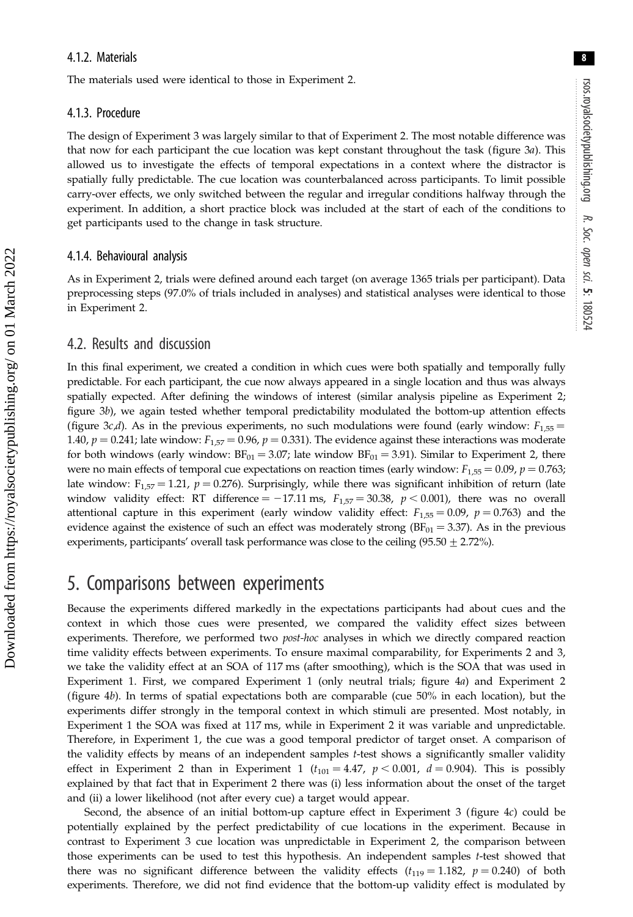8

### 4.1.2. Materials

The materials used were identical to those in Experiment 2.

### 4.1.3. Procedure

The design of Experiment 3 was largely similar to that of Experiment 2. The most notable difference was that now for each participant the cue location was kept constant throughout the task [\(figure 3](#page-9-0)a). This allowed us to investigate the effects of temporal expectations in a context where the distractor is spatially fully predictable. The cue location was counterbalanced across participants. To limit possible carry-over effects, we only switched between the regular and irregular conditions halfway through the experiment. In addition, a short practice block was included at the start of each of the conditions to get participants used to the change in task structure.

### 4.1.4. Behavioural analysis

As in Experiment 2, trials were defined around each target (on average 1365 trials per participant). Data preprocessing steps (97.0% of trials included in analyses) and statistical analyses were identical to those in Experiment 2.

### 4.2. Results and discussion

In this final experiment, we created a condition in which cues were both spatially and temporally fully predictable. For each participant, the cue now always appeared in a single location and thus was always spatially expected. After defining the windows of interest (similar analysis pipeline as Experiment 2; [figure 3](#page-9-0)b), we again tested whether temporal predictability modulated the bottom-up attention effects [\(figure 3](#page-9-0)c,d). As in the previous experiments, no such modulations were found (early window:  $F_{1,55}$  = 1.40,  $p = 0.241$ ; late window:  $F_{1,57} = 0.96$ ,  $p = 0.331$ ). The evidence against these interactions was moderate for both windows (early window:  $BF_{01} = 3.07$ ; late window  $BF_{01} = 3.91$ ). Similar to Experiment 2, there were no main effects of temporal cue expectations on reaction times (early window:  $F_{1,55} = 0.09$ ,  $p = 0.763$ ; late window:  $F_{1,57} = 1.21$ ,  $p = 0.276$ ). Surprisingly, while there was significant inhibition of return (late window validity effect: RT difference = -17.11 ms,  $F_{1,57}$  = 30.38, p < 0.001), there was no overall attentional capture in this experiment (early window validity effect:  $F_{1,55} = 0.09$ ,  $p = 0.763$ ) and the evidence against the existence of such an effect was moderately strong  $(BF_{01} = 3.37)$ . As in the previous experiments, participants' overall task performance was close to the ceiling (95.50  $\pm$  2.72%).

### 5. Comparisons between experiments

Because the experiments differed markedly in the expectations participants had about cues and the context in which those cues were presented, we compared the validity effect sizes between experiments. Therefore, we performed two *post-hoc* analyses in which we directly compared reaction time validity effects between experiments. To ensure maximal comparability, for Experiments 2 and 3, we take the validity effect at an SOA of 117 ms (after smoothing), which is the SOA that was used in Experiment 1. First, we compared Experiment 1 (only neutral trials; [figure 4](#page-10-0)a) and Experiment 2 [\(figure 4](#page-10-0)b). In terms of spatial expectations both are comparable (cue 50% in each location), but the experiments differ strongly in the temporal context in which stimuli are presented. Most notably, in Experiment 1 the SOA was fixed at 117 ms, while in Experiment 2 it was variable and unpredictable. Therefore, in Experiment 1, the cue was a good temporal predictor of target onset. A comparison of the validity effects by means of an independent samples t-test shows a significantly smaller validity effect in Experiment 2 than in Experiment 1 ( $t_{101} = 4.47$ ,  $p < 0.001$ ,  $d = 0.904$ ). This is possibly explained by that fact that in Experiment 2 there was (i) less information about the onset of the target and (ii) a lower likelihood (not after every cue) a target would appear.

Second, the absence of an initial bottom-up capture effect in Experiment 3 ([figure 4](#page-10-0)c) could be potentially explained by the perfect predictability of cue locations in the experiment. Because in contrast to Experiment 3 cue location was unpredictable in Experiment 2, the comparison between those experiments can be used to test this hypothesis. An independent samples t-test showed that there was no significant difference between the validity effects  $(t_{119} = 1.182, p = 0.240)$  of both experiments. Therefore, we did not find evidence that the bottom-up validity effect is modulated by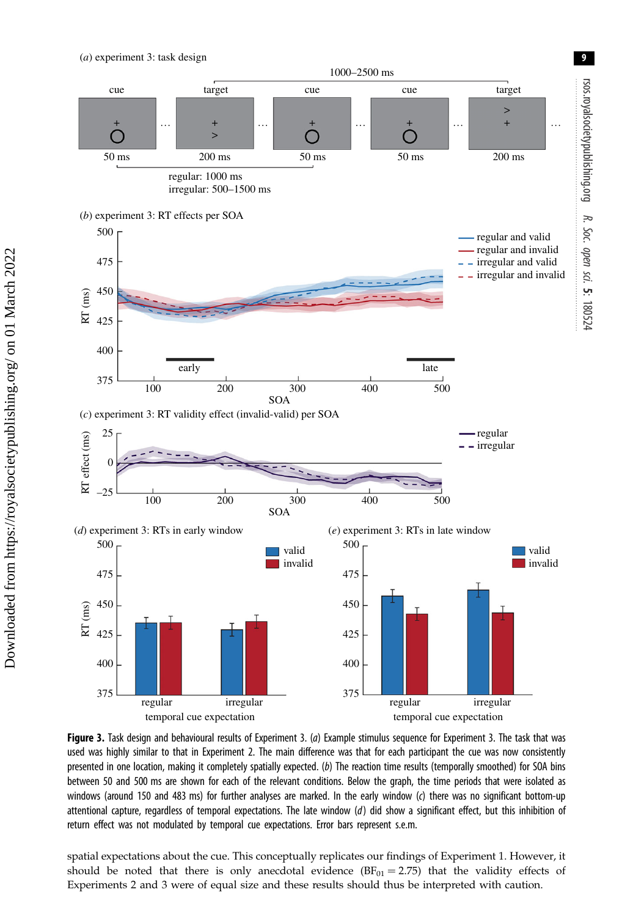<span id="page-9-0"></span>

Figure 3. Task design and behavioural results of Experiment 3. (a) Example stimulus sequence for Experiment 3. The task that was used was highly similar to that in Experiment 2. The main difference was that for each participant the cue was now consistently presented in one location, making it completely spatially expected. (b) The reaction time results (temporally smoothed) for SOA bins between 50 and 500 ms are shown for each of the relevant conditions. Below the graph, the time periods that were isolated as windows (around 150 and 483 ms) for further analyses are marked. In the early window (c) there was no significant bottom-up attentional capture, regardless of temporal expectations. The late window (d) did show a significant effect, but this inhibition of return effect was not modulated by temporal cue expectations. Error bars represent s.e.m.

spatial expectations about the cue. This conceptually replicates our findings of Experiment 1. However, it should be noted that there is only anecdotal evidence  $(BF_{01} = 2.75)$  that the validity effects of Experiments 2 and 3 were of equal size and these results should thus be interpreted with caution.

 Downloaded from https://royalsocietypublishing.org/ on 01 March 2022 Downloaded from https://royalsocietypublishing.org/ on 01 March 2022 9

rsos.royalsocietypublishing.org

po.philalduqypublishing.org

R. Soc. opensci.

5: 180524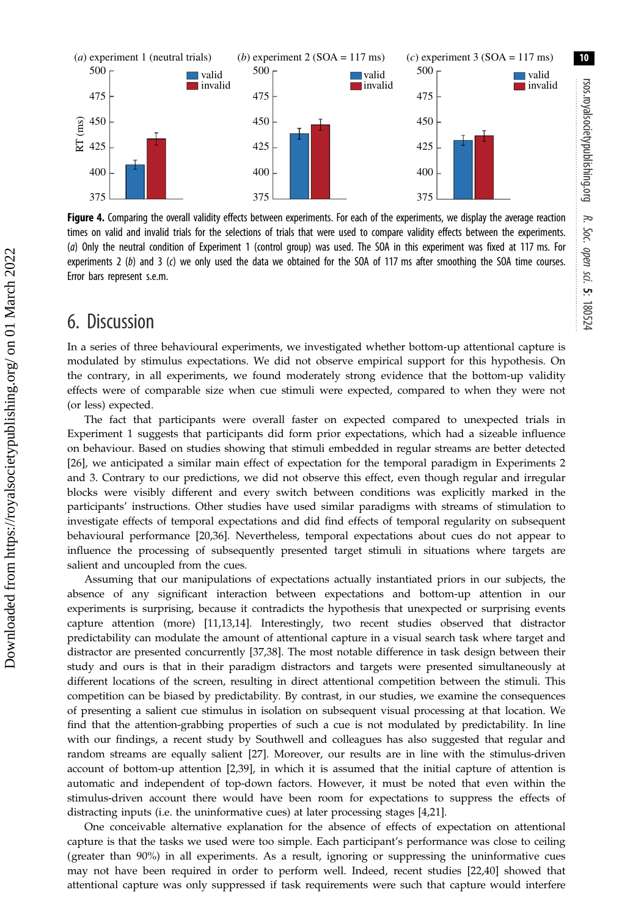10

<span id="page-10-0"></span>

Figure 4. Comparing the overall validity effects between experiments. For each of the experiments, we display the average reaction times on valid and invalid trials for the selections of trials that were used to compare validity effects between the experiments. (a) Only the neutral condition of Experiment 1 (control group) was used. The SOA in this experiment was fixed at 117 ms. For experiments 2 (b) and 3 (c) we only used the data we obtained for the SOA of 117 ms after smoothing the SOA time courses. Error bars represent s.e.m.

### 6. Discussion

In a series of three behavioural experiments, we investigated whether bottom-up attentional capture is modulated by stimulus expectations. We did not observe empirical support for this hypothesis. On the contrary, in all experiments, we found moderately strong evidence that the bottom-up validity effects were of comparable size when cue stimuli were expected, compared to when they were not (or less) expected.

The fact that participants were overall faster on expected compared to unexpected trials in Experiment 1 suggests that participants did form prior expectations, which had a sizeable influence on behaviour. Based on studies showing that stimuli embedded in regular streams are better detected [\[26](#page-12-0)], we anticipated a similar main effect of expectation for the temporal paradigm in Experiments 2 and 3. Contrary to our predictions, we did not observe this effect, even though regular and irregular blocks were visibly different and every switch between conditions was explicitly marked in the participants' instructions. Other studies have used similar paradigms with streams of stimulation to investigate effects of temporal expectations and did find effects of temporal regularity on subsequent behavioural performance [\[20](#page-12-0),[36\]](#page-12-0). Nevertheless, temporal expectations about cues do not appear to influence the processing of subsequently presented target stimuli in situations where targets are salient and uncoupled from the cues.

Assuming that our manipulations of expectations actually instantiated priors in our subjects, the absence of any significant interaction between expectations and bottom-up attention in our experiments is surprising, because it contradicts the hypothesis that unexpected or surprising events capture attention (more) [\[11,13,14\]](#page-12-0). Interestingly, two recent studies observed that distractor predictability can modulate the amount of attentional capture in a visual search task where target and distractor are presented concurrently [[37,38\]](#page-12-0). The most notable difference in task design between their study and ours is that in their paradigm distractors and targets were presented simultaneously at different locations of the screen, resulting in direct attentional competition between the stimuli. This competition can be biased by predictability. By contrast, in our studies, we examine the consequences of presenting a salient cue stimulus in isolation on subsequent visual processing at that location. We find that the attention-grabbing properties of such a cue is not modulated by predictability. In line with our findings, a recent study by Southwell and colleagues has also suggested that regular and random streams are equally salient [[27\]](#page-12-0). Moreover, our results are in line with the stimulus-driven account of bottom-up attention [[2,39](#page-12-0)], in which it is assumed that the initial capture of attention is automatic and independent of top-down factors. However, it must be noted that even within the stimulus-driven account there would have been room for expectations to suppress the effects of distracting inputs (i.e. the uninformative cues) at later processing stages [[4](#page-12-0),[21\]](#page-12-0).

One conceivable alternative explanation for the absence of effects of expectation on attentional capture is that the tasks we used were too simple. Each participant's performance was close to ceiling (greater than 90%) in all experiments. As a result, ignoring or suppressing the uninformative cues may not have been required in order to perform well. Indeed, recent studies [\[22](#page-12-0),[40](#page-12-0)] showed that attentional capture was only suppressed if task requirements were such that capture would interfere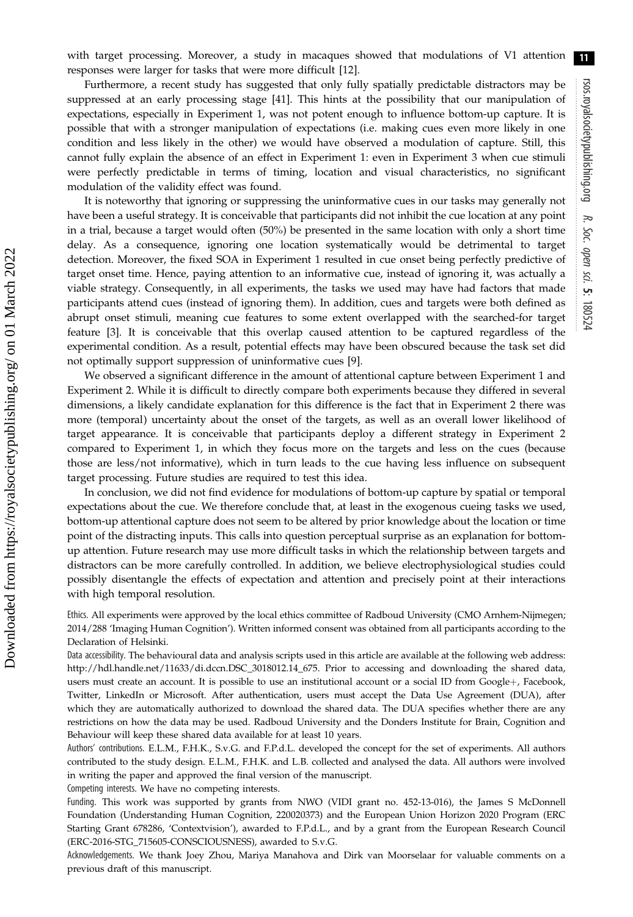with target processing. Moreover, a study in macaques showed that modulations of V1 attention responses were larger for tasks that were more difficult [[12\]](#page-12-0). 11

Furthermore, a recent study has suggested that only fully spatially predictable distractors may be suppressed at an early processing stage [\[41](#page-12-0)]. This hints at the possibility that our manipulation of expectations, especially in Experiment 1, was not potent enough to influence bottom-up capture. It is possible that with a stronger manipulation of expectations (i.e. making cues even more likely in one condition and less likely in the other) we would have observed a modulation of capture. Still, this cannot fully explain the absence of an effect in Experiment 1: even in Experiment 3 when cue stimuli were perfectly predictable in terms of timing, location and visual characteristics, no significant modulation of the validity effect was found.

It is noteworthy that ignoring or suppressing the uninformative cues in our tasks may generally not have been a useful strategy. It is conceivable that participants did not inhibit the cue location at any point in a trial, because a target would often (50%) be presented in the same location with only a short time delay. As a consequence, ignoring one location systematically would be detrimental to target detection. Moreover, the fixed SOA in Experiment 1 resulted in cue onset being perfectly predictive of target onset time. Hence, paying attention to an informative cue, instead of ignoring it, was actually a viable strategy. Consequently, in all experiments, the tasks we used may have had factors that made participants attend cues (instead of ignoring them). In addition, cues and targets were both defined as abrupt onset stimuli, meaning cue features to some extent overlapped with the searched-for target feature [[3](#page-12-0)]. It is conceivable that this overlap caused attention to be captured regardless of the experimental condition. As a result, potential effects may have been obscured because the task set did not optimally support suppression of uninformative cues [[9](#page-12-0)].

We observed a significant difference in the amount of attentional capture between Experiment 1 and Experiment 2. While it is difficult to directly compare both experiments because they differed in several dimensions, a likely candidate explanation for this difference is the fact that in Experiment 2 there was more (temporal) uncertainty about the onset of the targets, as well as an overall lower likelihood of target appearance. It is conceivable that participants deploy a different strategy in Experiment 2 compared to Experiment 1, in which they focus more on the targets and less on the cues (because those are less/not informative), which in turn leads to the cue having less influence on subsequent target processing. Future studies are required to test this idea.

In conclusion, we did not find evidence for modulations of bottom-up capture by spatial or temporal expectations about the cue. We therefore conclude that, at least in the exogenous cueing tasks we used, bottom-up attentional capture does not seem to be altered by prior knowledge about the location or time point of the distracting inputs. This calls into question perceptual surprise as an explanation for bottomup attention. Future research may use more difficult tasks in which the relationship between targets and distractors can be more carefully controlled. In addition, we believe electrophysiological studies could possibly disentangle the effects of expectation and attention and precisely point at their interactions with high temporal resolution.

Ethics. All experiments were approved by the local ethics committee of Radboud University (CMO Arnhem-Nijmegen; 2014/288 'Imaging Human Cognition'). Written informed consent was obtained from all participants according to the Declaration of Helsinki.

Data accessibility. The behavioural data and analysis scripts used in this article are available at the following web address: [http://hdl.handle.net/11633/di.dccn.DSC\\_3018012.14\\_675](http://hdl.handle.net/11633/di.dccn.DSC_3018012.14_675). Prior to accessing and downloading the shared data, users must create an account. It is possible to use an institutional account or a social ID from Google+, Facebook, Twitter, LinkedIn or Microsoft. After authentication, users must accept the Data Use Agreement (DUA), after which they are automatically authorized to download the shared data. The DUA specifies whether there are any restrictions on how the data may be used. Radboud University and the Donders Institute for Brain, Cognition and Behaviour will keep these shared data available for at least 10 years.

Authors' contributions. E.L.M., F.H.K., S.v.G. and F.P.d.L. developed the concept for the set of experiments. All authors contributed to the study design. E.L.M., F.H.K. and L.B. collected and analysed the data. All authors were involved in writing the paper and approved the final version of the manuscript.

Competing interests. We have no competing interests.

Funding. This work was supported by grants from NWO (VIDI grant no. 452-13-016), the James S McDonnell Foundation (Understanding Human Cognition, 220020373) and the European Union Horizon 2020 Program (ERC Starting Grant 678286, 'Contextvision'), awarded to F.P.d.L., and by a grant from the European Research Council (ERC-2016-STG\_715605-CONSCIOUSNESS), awarded to S.v.G.

Acknowledgements. We thank Joey Zhou, Mariya Manahova and Dirk van Moorselaar for valuable comments on a previous draft of this manuscript.